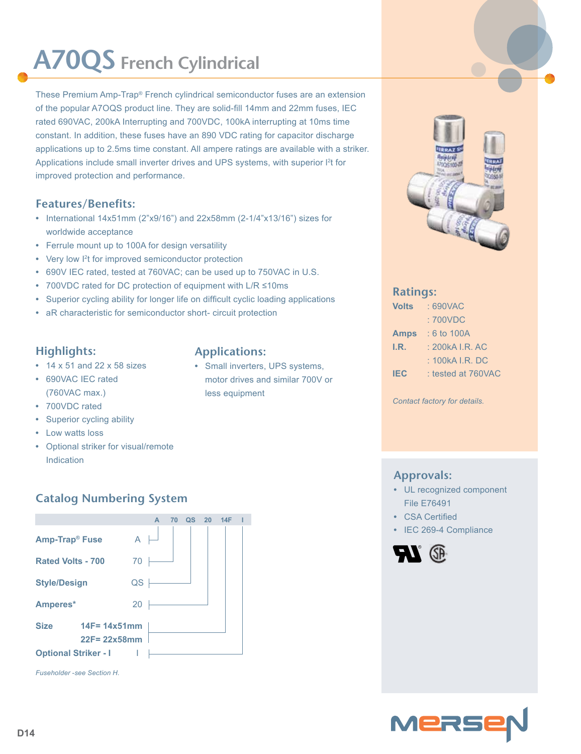# **A70QS French Cylindrical**

These Premium Amp-Trap® French cylindrical semiconductor fuses are an extension of the popular A7OQS product line. They are solid-fill 14mm and 22mm fuses, IEC rated 690VAC, 200kA Interrupting and 700VDC, 100kA interrupting at 10ms time constant. In addition, these fuses have an 890 VDC rating for capacitor discharge applications up to 2.5ms time constant. All ampere ratings are available with a striker. Applications include small inverter drives and UPS systems, with superior l<sup>2</sup>t for improved protection and performance.

#### **Features/Benefits:**

- **•** International 14x51mm (2"x9/16") and 22x58mm (2-1/4"x13/16") sizes for worldwide acceptance
- **•** Ferrule mount up to 100A for design versatility
- Very low <sup>12</sup>t for improved semiconductor protection
- **•** 690V IEC rated, tested at 760VAC; can be used up to 750VAC in U.S.
- **•** 700VDC rated for DC protection of equipment with L/R ≤10ms
- **•** Superior cycling ability for longer life on difficult cyclic loading applications
- **•** aR characteristic for semiconductor short- circuit protection

#### **Highlights:**

- **•** 14 x 51 and 22 x 58 sizes
- **•** 690VAC IEC rated (760VAC max.)
- **•** 700VDC rated
- **•** Superior cycling ability
- **•** Low watts loss
- **•** Optional striker for visual/remote Indication

### **Catalog Numbering System**



**Applications:**

**•** Small inverters, UPS systems, motor drives and similar 700V or less equipment



#### **Ratings:**

| <b>Volts</b> | : 690VAC           |
|--------------|--------------------|
|              | : 700VDC           |
| <b>Amps</b>  | $: 6$ to 100A      |
| I.R.         | : 200kA I.R. AC    |
|              | : 100kA I.R. DC    |
| <b>IEC</b>   | : tested at 760VAC |

*Contact factory for details.*

#### **Approvals:**

- **•** UL recognized component File E76491
- **•** CSA Certified
- **•** IEC 269-4 Compliance